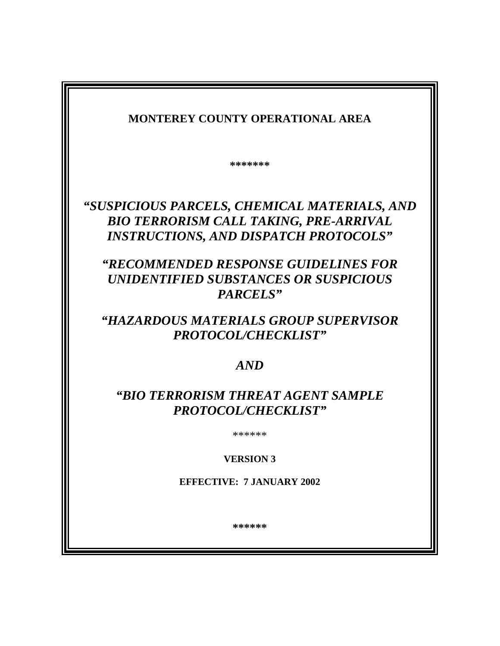| <b>MONTEREY COUNTY OPERATIONAL AREA</b>                                                                                                                                                                                                    |
|--------------------------------------------------------------------------------------------------------------------------------------------------------------------------------------------------------------------------------------------|
| *******                                                                                                                                                                                                                                    |
| "SUSPICIOUS PARCELS, CHEMICAL MATERIALS, AND<br><b>BIO TERRORISM CALL TAKING, PRE-ARRIVAL</b><br><b>INSTRUCTIONS, AND DISPATCH PROTOCOLS"</b><br>"RECOMMENDED RESPONSE GUIDELINES FOR<br>UNIDENTIFIED SUBSTANCES OR SUSPICIOUS<br>PARCELS" |
| "HAZARDOUS MATERIALS GROUP SUPERVISOR<br>PROTOCOL/CHECKLIST"                                                                                                                                                                               |
| AND                                                                                                                                                                                                                                        |
| "BIO TERRORISM THREAT AGENT SAMPLE<br>PROTOCOL/CHECKLIST"                                                                                                                                                                                  |
| ******                                                                                                                                                                                                                                     |
| <b>VERSION 3</b>                                                                                                                                                                                                                           |
| <b>EFFECTIVE: 7 JANUARY 2002</b>                                                                                                                                                                                                           |
| ******                                                                                                                                                                                                                                     |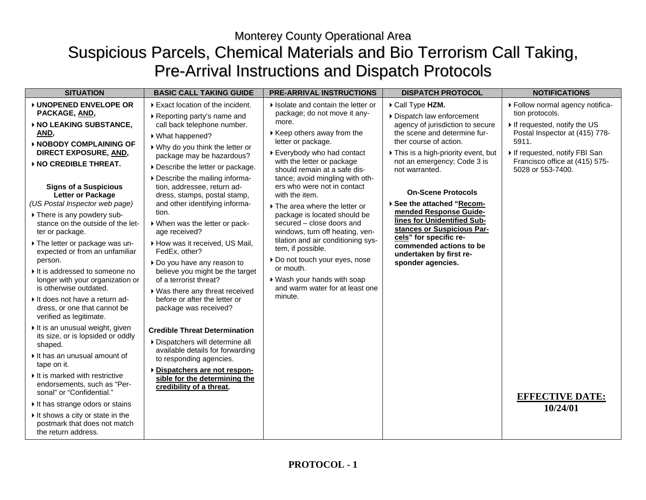# Monterey County Operational Area Suspicious Parcels, Chemical Materials and Bio Terrorism Call Taking, Pre-Arrival Instructions and Dispatch Protocols

| <b>SITUATION</b>                                                                                                                                                                                                                                                                                                                                                                                                                                                                                                                                                         | <b>BASIC CALL TAKING GUIDE</b>                                                                                                                                                                                                                                                                                                                                                                                                                                                                                                                                                                      | <b>PRE-ARRIVAL INSTRUCTIONS</b>                                                                                                                                                                                                                                                                                                                                                                                                                                                                                                                         | <b>DISPATCH PROTOCOL</b>                                                                                                                                                                                                                                                                                                                                                                             | <b>NOTIFICATIONS</b>                                                                                                           |
|--------------------------------------------------------------------------------------------------------------------------------------------------------------------------------------------------------------------------------------------------------------------------------------------------------------------------------------------------------------------------------------------------------------------------------------------------------------------------------------------------------------------------------------------------------------------------|-----------------------------------------------------------------------------------------------------------------------------------------------------------------------------------------------------------------------------------------------------------------------------------------------------------------------------------------------------------------------------------------------------------------------------------------------------------------------------------------------------------------------------------------------------------------------------------------------------|---------------------------------------------------------------------------------------------------------------------------------------------------------------------------------------------------------------------------------------------------------------------------------------------------------------------------------------------------------------------------------------------------------------------------------------------------------------------------------------------------------------------------------------------------------|------------------------------------------------------------------------------------------------------------------------------------------------------------------------------------------------------------------------------------------------------------------------------------------------------------------------------------------------------------------------------------------------------|--------------------------------------------------------------------------------------------------------------------------------|
| ▶ UNOPENED ENVELOPE OR<br>PACKAGE, AND,<br>▶ NO LEAKING SUBSTANCE,                                                                                                                                                                                                                                                                                                                                                                                                                                                                                                       | Exact location of the incident.<br>▶ Reporting party's name and<br>call back telephone number.                                                                                                                                                                                                                                                                                                                                                                                                                                                                                                      | If Isolate and contain the letter or<br>package; do not move it any-<br>more.                                                                                                                                                                                                                                                                                                                                                                                                                                                                           | Call Type HZM.<br>Dispatch law enforcement<br>agency of jurisdiction to secure                                                                                                                                                                                                                                                                                                                       | Follow normal agency notifica-<br>tion protocols.<br>If requested, notify the US                                               |
| AND,<br>▶ NOBODY COMPLAINING OF<br>DIRECT EXPOSURE, AND,<br>▶ NO CREDIBLE THREAT.<br><b>Signs of a Suspicious</b><br>Letter or Package<br>(US Postal Inspector web page)<br>There is any powdery sub-<br>stance on the outside of the let-<br>ter or package.<br>The letter or package was un-<br>expected or from an unfamiliar<br>person.<br>If is addressed to someone no<br>longer with your organization or<br>is otherwise outdated.<br>If does not have a return ad-<br>dress, or one that cannot be<br>verified as legitimate.<br>It is an unusual weight, given | ▶ What happened?<br>▶ Why do you think the letter or<br>package may be hazardous?<br>Describe the letter or package.<br>Describe the mailing informa-<br>tion, addressee, return ad-<br>dress, stamps, postal stamp,<br>and other identifying informa-<br>tion.<br>▶ When was the letter or pack-<br>age received?<br>How was it received, US Mail,<br>FedEx. other?<br>Do you have any reason to<br>believe you might be the target<br>of a terrorist threat?<br>▶ Was there any threat received<br>before or after the letter or<br>package was received?<br><b>Credible Threat Determination</b> | ▶ Keep others away from the<br>letter or package.<br>▶ Everybody who had contact<br>with the letter or package<br>should remain at a safe dis-<br>tance; avoid mingling with oth-<br>ers who were not in contact<br>with the item.<br>The area where the letter or<br>package is located should be<br>secured - close doors and<br>windows, turn off heating, ven-<br>tilation and air conditioning sys-<br>tem, if possible.<br>Do not touch your eyes, nose<br>or mouth.<br>▶ Wash your hands with soap<br>and warm water for at least one<br>minute. | the scene and determine fur-<br>ther course of action.<br>This is a high-priority event, but<br>not an emergency; Code 3 is<br>not warranted.<br><b>On-Scene Protocols</b><br>▶ See the attached "Recom-<br>mended Response Guide-<br>lines for Unidentified Sub-<br>stances or Suspicious Par-<br>cels" for specific re-<br>commended actions to be<br>undertaken by first re-<br>sponder agencies. | Postal Inspector at (415) 778-<br>5911.<br>If requested, notify FBI San<br>Francisco office at (415) 575-<br>5028 or 553-7400. |
| its size, or is lopsided or oddly<br>shaped.<br>$\triangleright$ It has an unusual amount of<br>tape on it.<br>It is marked with restrictive<br>endorsements, such as "Per-<br>sonal" or "Confidential."<br>It has strange odors or stains<br>If shows a city or state in the<br>postmark that does not match<br>the return address.                                                                                                                                                                                                                                     | Dispatchers will determine all<br>available details for forwarding<br>to responding agencies.<br>Dispatchers are not respon-<br>sible for the determining the<br>credibility of a threat.                                                                                                                                                                                                                                                                                                                                                                                                           |                                                                                                                                                                                                                                                                                                                                                                                                                                                                                                                                                         |                                                                                                                                                                                                                                                                                                                                                                                                      | <b>EFFECTIVE DATE:</b><br>10/24/01                                                                                             |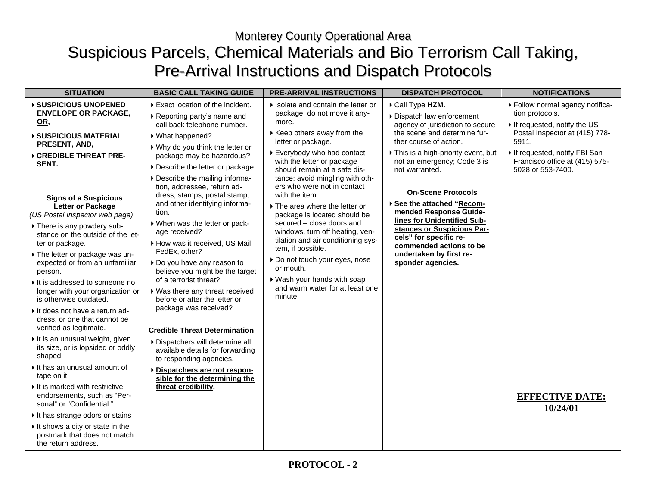# Monterey County Operational Area Suspicious Parcels, Chemical Materials and Bio Terrorism Call Taking, Pre-Arrival Instructions and Dispatch Protocols

| <b>SITUATION</b>                                                                                                                                                                                                                                                                                                                                                                                                                                                                                                                                                                                                                                                                                                                                                             | <b>BASIC CALL TAKING GUIDE</b>                                                                                                                                                                                                                                                                                                                                                                                                                                                                                                                                                                                                                                                                                                                                                            | <b>PRE-ARRIVAL INSTRUCTIONS</b>                                                                                                                                                                                                                                                                                                                                                                                                                                                                                          | <b>DISPATCH PROTOCOL</b>                                                                                                                                                                                                                                                                                                                                             | <b>NOTIFICATIONS</b>                                                                                                   |
|------------------------------------------------------------------------------------------------------------------------------------------------------------------------------------------------------------------------------------------------------------------------------------------------------------------------------------------------------------------------------------------------------------------------------------------------------------------------------------------------------------------------------------------------------------------------------------------------------------------------------------------------------------------------------------------------------------------------------------------------------------------------------|-------------------------------------------------------------------------------------------------------------------------------------------------------------------------------------------------------------------------------------------------------------------------------------------------------------------------------------------------------------------------------------------------------------------------------------------------------------------------------------------------------------------------------------------------------------------------------------------------------------------------------------------------------------------------------------------------------------------------------------------------------------------------------------------|--------------------------------------------------------------------------------------------------------------------------------------------------------------------------------------------------------------------------------------------------------------------------------------------------------------------------------------------------------------------------------------------------------------------------------------------------------------------------------------------------------------------------|----------------------------------------------------------------------------------------------------------------------------------------------------------------------------------------------------------------------------------------------------------------------------------------------------------------------------------------------------------------------|------------------------------------------------------------------------------------------------------------------------|
| ▶ SUSPICIOUS UNOPENED<br><b>ENVELOPE OR PACKAGE,</b><br>OR,                                                                                                                                                                                                                                                                                                                                                                                                                                                                                                                                                                                                                                                                                                                  | Exact location of the incident.<br>▶ Reporting party's name and<br>call back telephone number.                                                                                                                                                                                                                                                                                                                                                                                                                                                                                                                                                                                                                                                                                            | If Isolate and contain the letter or<br>package; do not move it any-<br>more.<br>▶ Keep others away from the                                                                                                                                                                                                                                                                                                                                                                                                             | Call Type HZM.<br>Dispatch law enforcement<br>agency of jurisdiction to secure<br>the scene and determine fur-                                                                                                                                                                                                                                                       | ▶ Follow normal agency notifica-<br>tion protocols.<br>If requested, notify the US<br>Postal Inspector at (415) 778-   |
| ▶ SUSPICIOUS MATERIAL<br>PRESENT, AND,<br>▶ CREDIBLE THREAT PRE-<br>SENT.<br><b>Signs of a Suspicious</b><br>Letter or Package<br>(US Postal Inspector web page)<br>There is any powdery sub-<br>stance on the outside of the let-<br>ter or package.<br>The letter or package was un-<br>expected or from an unfamiliar<br>person.<br>It is addressed to someone no<br>longer with your organization or<br>is otherwise outdated.<br>It does not have a return ad-<br>dress, or one that cannot be<br>verified as legitimate.<br>It is an unusual weight, given<br>its size, or is lopsided or oddly<br>shaped.<br>It has an unusual amount of<br>tape on it.<br>$\triangleright$ It is marked with restrictive<br>endorsements, such as "Per-<br>sonal" or "Confidential." | ▶ What happened?<br>▶ Why do you think the letter or<br>package may be hazardous?<br>Describe the letter or package.<br>Describe the mailing informa-<br>tion, addressee, return ad-<br>dress, stamps, postal stamp,<br>and other identifying informa-<br>tion.<br>When was the letter or pack-<br>age received?<br>How was it received, US Mail,<br>FedEx, other?<br>Do you have any reason to<br>believe you might be the target<br>of a terrorist threat?<br>▶ Was there any threat received<br>before or after the letter or<br>package was received?<br><b>Credible Threat Determination</b><br>Dispatchers will determine all<br>available details for forwarding<br>to responding agencies.<br>Dispatchers are not respon-<br>sible for the determining the<br>threat credibility. | letter or package.<br>▶ Everybody who had contact<br>with the letter or package<br>should remain at a safe dis-<br>tance; avoid mingling with oth-<br>ers who were not in contact<br>with the item.<br>The area where the letter or<br>package is located should be<br>secured – close doors and<br>windows, turn off heating, ven-<br>tilation and air conditioning sys-<br>tem, if possible.<br>Do not touch your eyes, nose<br>or mouth.<br>▶ Wash your hands with soap<br>and warm water for at least one<br>minute. | ther course of action.<br>This is a high-priority event, but<br>not an emergency; Code 3 is<br>not warranted.<br><b>On-Scene Protocols</b><br>▶ See the attached "Recom-<br>mended Response Guide-<br>lines for Unidentified Sub-<br>stances or Suspicious Par-<br>cels" for specific re-<br>commended actions to be<br>undertaken by first re-<br>sponder agencies. | 5911.<br>If requested, notify FBI San<br>Francisco office at (415) 575-<br>5028 or 553-7400.<br><b>EFFECTIVE DATE:</b> |
| It has strange odors or stains<br>It shows a city or state in the<br>postmark that does not match<br>the return address.                                                                                                                                                                                                                                                                                                                                                                                                                                                                                                                                                                                                                                                     |                                                                                                                                                                                                                                                                                                                                                                                                                                                                                                                                                                                                                                                                                                                                                                                           |                                                                                                                                                                                                                                                                                                                                                                                                                                                                                                                          |                                                                                                                                                                                                                                                                                                                                                                      | 10/24/01                                                                                                               |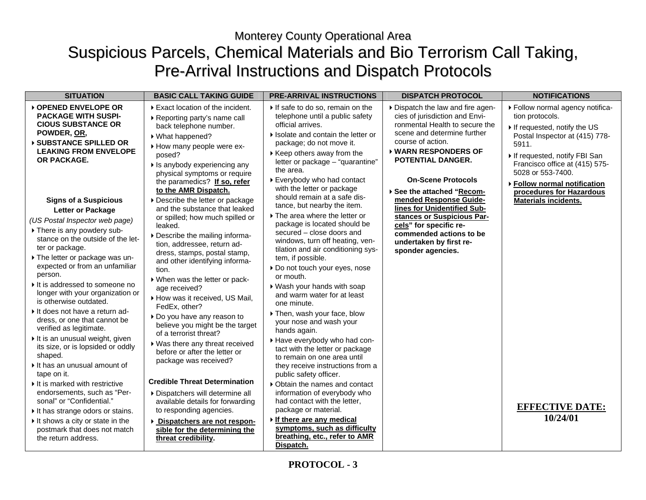# Monterey County Operational Area Suspicious Parcels, Chemical Materials and Bio Terrorism Call Taking, Pre-Arrival Instructions and Dispatch Protocols

| <b>SITUATION</b>                                                                                                                                                                                                                                                                                                                                                                                                                                                                                                                                                                                                                                                                                                                                                                                            | <b>BASIC CALL TAKING GUIDE</b>                                                                                                                                                                                                                                                                                                                                                                                                                                                                                                                                                                                                                                                                                                                                                       | <b>PRE-ARRIVAL INSTRUCTIONS</b>                                                                                                                                                                                                                                                                                                                                                                                                                                                                                                                                                                                                                                                                                                                                                                                              | <b>DISPATCH PROTOCOL</b>                                                                                                                                                                                                                                                                  | <b>NOTIFICATIONS</b>                                                                                                                                                                                                                                                             |
|-------------------------------------------------------------------------------------------------------------------------------------------------------------------------------------------------------------------------------------------------------------------------------------------------------------------------------------------------------------------------------------------------------------------------------------------------------------------------------------------------------------------------------------------------------------------------------------------------------------------------------------------------------------------------------------------------------------------------------------------------------------------------------------------------------------|--------------------------------------------------------------------------------------------------------------------------------------------------------------------------------------------------------------------------------------------------------------------------------------------------------------------------------------------------------------------------------------------------------------------------------------------------------------------------------------------------------------------------------------------------------------------------------------------------------------------------------------------------------------------------------------------------------------------------------------------------------------------------------------|------------------------------------------------------------------------------------------------------------------------------------------------------------------------------------------------------------------------------------------------------------------------------------------------------------------------------------------------------------------------------------------------------------------------------------------------------------------------------------------------------------------------------------------------------------------------------------------------------------------------------------------------------------------------------------------------------------------------------------------------------------------------------------------------------------------------------|-------------------------------------------------------------------------------------------------------------------------------------------------------------------------------------------------------------------------------------------------------------------------------------------|----------------------------------------------------------------------------------------------------------------------------------------------------------------------------------------------------------------------------------------------------------------------------------|
| ▶ OPENED ENVELOPE OR<br><b>PACKAGE WITH SUSPI-</b><br><b>CIOUS SUBSTANCE OR</b><br>POWDER, OR,<br><b>SUBSTANCE SPILLED OR</b><br><b>LEAKING FROM ENVELOPE</b><br>OR PACKAGE.                                                                                                                                                                                                                                                                                                                                                                                                                                                                                                                                                                                                                                | Exact location of the incident.<br>▶ Reporting party's name call<br>back telephone number.<br>▶ What happened?<br>How many people were ex-<br>posed?<br>If is anybody experiencing any<br>physical symptoms or require<br>the paramedics? If so, refer<br>to the AMR Dispatch.                                                                                                                                                                                                                                                                                                                                                                                                                                                                                                       | If safe to do so, remain on the<br>telephone until a public safety<br>official arrives.<br>If Isolate and contain the letter or<br>package; do not move it.<br>$\triangleright$ Keep others away from the<br>letter or package - "quarantine"<br>the area.<br>▶ Everybody who had contact<br>with the letter or package<br>should remain at a safe dis-                                                                                                                                                                                                                                                                                                                                                                                                                                                                      | Dispatch the law and fire agen-<br>cies of jurisdiction and Envi-<br>ronmental Health to secure the<br>scene and determine further<br>course of action.<br>▶ WARN RESPONDERS OF<br>POTENTIAL DANGER.<br><b>On-Scene Protocols</b><br>▶ See the attached "Recom-<br>mended Response Guide- | ▶ Follow normal agency notifica-<br>tion protocols.<br>If requested, notify the US<br>Postal Inspector at (415) 778-<br>5911.<br>If requested, notify FBI San<br>Francisco office at (415) 575-<br>5028 or 553-7400.<br>▶ Follow normal notification<br>procedures for Hazardous |
| <b>Signs of a Suspicious</b><br>Letter or Package<br>(US Postal Inspector web page)<br>There is any powdery sub-<br>stance on the outside of the let-<br>ter or package.<br>The letter or package was un-<br>expected or from an unfamiliar<br>person.<br>It is addressed to someone no<br>longer with your organization or<br>is otherwise outdated.<br>If does not have a return ad-<br>dress, or one that cannot be<br>verified as legitimate.<br>It is an unusual weight, given<br>its size, or is lopsided or oddly<br>shaped.<br>It has an unusual amount of<br>tape on it.<br>It is marked with restrictive<br>endorsements, such as "Per-<br>sonal" or "Confidential."<br>It has strange odors or stains.<br>If shows a city or state in the<br>postmark that does not match<br>the return address. | Describe the letter or package<br>and the substance that leaked<br>or spilled; how much spilled or<br>leaked.<br>Describe the mailing informa-<br>tion, addressee, return ad-<br>dress, stamps, postal stamp,<br>and other identifying informa-<br>tion.<br>▶ When was the letter or pack-<br>age received?<br>How was it received, US Mail,<br>FedEx, other?<br>Do you have any reason to<br>believe you might be the target<br>of a terrorist threat?<br>▶ Was there any threat received<br>before or after the letter or<br>package was received?<br><b>Credible Threat Determination</b><br>Dispatchers will determine all<br>available details for forwarding<br>to responding agencies.<br>Dispatchers are not respon-<br>sible for the determining the<br>threat credibility. | tance, but nearby the item.<br>The area where the letter or<br>package is located should be<br>secured - close doors and<br>windows, turn off heating, ven-<br>tilation and air conditioning sys-<br>tem, if possible.<br>Do not touch your eyes, nose<br>or mouth.<br>▶ Wash your hands with soap<br>and warm water for at least<br>one minute.<br>Then, wash your face, blow<br>your nose and wash your<br>hands again.<br>Have everybody who had con-<br>tact with the letter or package<br>to remain on one area until<br>they receive instructions from a<br>public safety officer.<br>▶ Obtain the names and contact<br>information of everybody who<br>had contact with the letter,<br>package or material.<br>If there are any medical<br>symptoms, such as difficulty<br>breathing, etc., refer to AMR<br>Dispatch. | lines for Unidentified Sub-<br>stances or Suspicious Par-<br>cels" for specific re-<br>commended actions to be<br>undertaken by first re-<br>sponder agencies.                                                                                                                            | <b>Materials incidents.</b><br><b>EFFECTIVE DATE:</b><br>10/24/01                                                                                                                                                                                                                |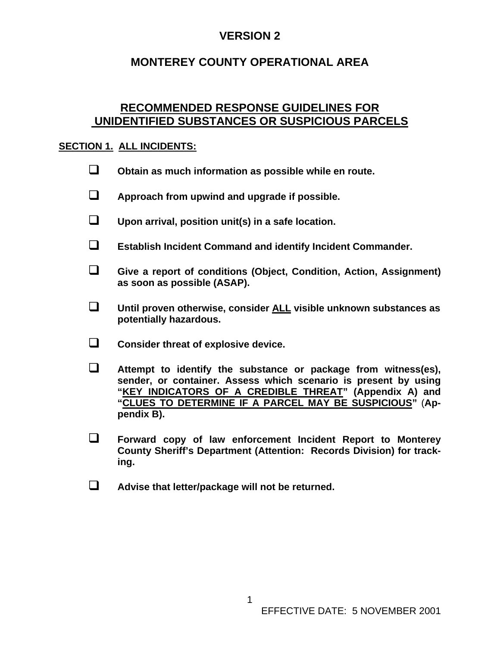### **MONTEREY COUNTY OPERATIONAL AREA**

### **RECOMMENDED RESPONSE GUIDELINES FOR UNIDENTIFIED SUBSTANCES OR SUSPICIOUS PARCELS**

#### **SECTION 1. ALL INCIDENTS:**

- **Obtain as much information as possible while en route.**
- **Approach from upwind and upgrade if possible.**
- **Upon arrival, position unit(s) in a safe location.**
- **Establish Incident Command and identify Incident Commander.**
- **Give a report of conditions (Object, Condition, Action, Assignment) as soon as possible (ASAP).**
- **Until proven otherwise, consider ALL visible unknown substances as potentially hazardous.**
- **Consider threat of explosive device.**
- **Attempt to identify the substance or package from witness(es), sender, or container. Assess which scenario is present by using "KEY INDICATORS OF A CREDIBLE THREAT" (Appendix A) and "CLUES TO DETERMINE IF A PARCEL MAY BE SUSPICIOUS"** (**Appendix B).**
- **Forward copy of law enforcement Incident Report to Monterey County Sheriff's Department (Attention: Records Division) for tracking.**
- **Advise that letter/package will not be returned.**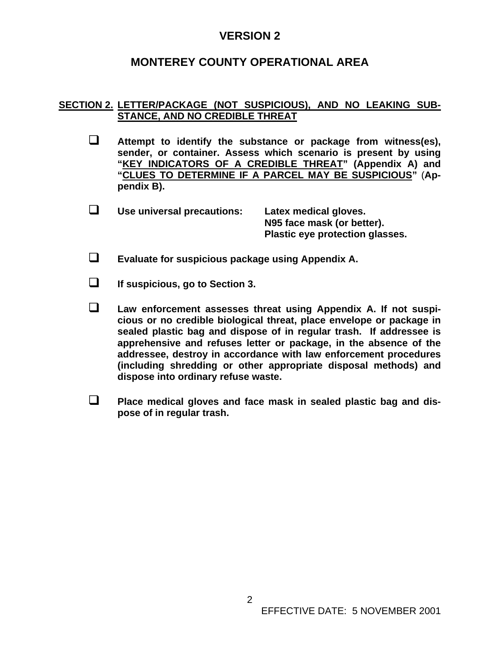### **MONTEREY COUNTY OPERATIONAL AREA**

#### **SECTION 2. LETTER/PACKAGE (NOT SUSPICIOUS), AND NO LEAKING SUB-STANCE, AND NO CREDIBLE THREAT**

- **Attempt to identify the substance or package from witness(es), sender, or container. Assess which scenario is present by using "KEY INDICATORS OF A CREDIBLE THREAT" (Appendix A) and "CLUES TO DETERMINE IF A PARCEL MAY BE SUSPICIOUS"** (**Appendix B).**
- **Use universal precautions: Latex medical gloves. N95 face mask (or better). Plastic eye protection glasses.**
- **Evaluate for suspicious package using Appendix A.**

**If suspicious, go to Section 3.** 

- **Law enforcement assesses threat using Appendix A. If not suspicious or no credible biological threat, place envelope or package in sealed plastic bag and dispose of in regular trash. If addressee is apprehensive and refuses letter or package, in the absence of the addressee, destroy in accordance with law enforcement procedures (including shredding or other appropriate disposal methods) and dispose into ordinary refuse waste.**
- **Place medical gloves and face mask in sealed plastic bag and dispose of in regular trash.**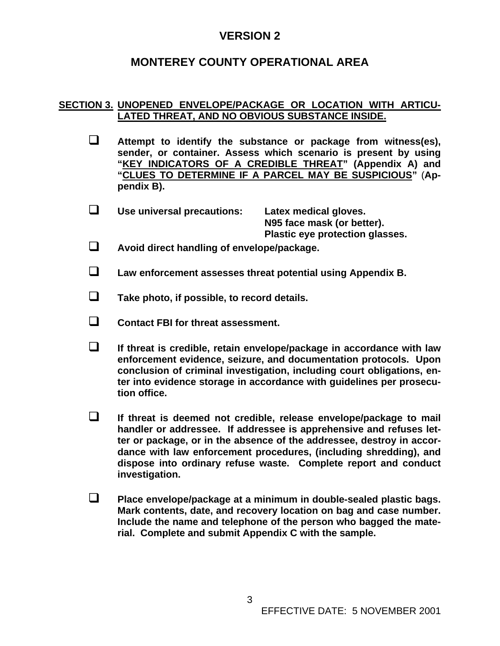### **MONTEREY COUNTY OPERATIONAL AREA**

#### **SECTION 3. UNOPENED ENVELOPE/PACKAGE OR LOCATION WITH ARTICU-LATED THREAT, AND NO OBVIOUS SUBSTANCE INSIDE.**

- **Attempt to identify the substance or package from witness(es), sender, or container. Assess which scenario is present by using "KEY INDICATORS OF A CREDIBLE THREAT" (Appendix A) and "CLUES TO DETERMINE IF A PARCEL MAY BE SUSPICIOUS"** (**Appendix B).**
- **Use universal precautions: Latex medical gloves. N95 face mask (or better). Plastic eye protection glasses.**
- **Avoid direct handling of envelope/package.**
- **Law enforcement assesses threat potential using Appendix B.**
- **Take photo, if possible, to record details.**
- **Contact FBI for threat assessment.**
- **If threat is credible, retain envelope/package in accordance with law enforcement evidence, seizure, and documentation protocols. Upon conclusion of criminal investigation, including court obligations, enter into evidence storage in accordance with guidelines per prosecution office.**
- **If threat is deemed not credible, release envelope/package to mail handler or addressee. If addressee is apprehensive and refuses letter or package, or in the absence of the addressee, destroy in accordance with law enforcement procedures, (including shredding), and dispose into ordinary refuse waste. Complete report and conduct investigation.**
- **Place envelope/package at a minimum in double-sealed plastic bags. Mark contents, date, and recovery location on bag and case number. Include the name and telephone of the person who bagged the material. Complete and submit Appendix C with the sample.**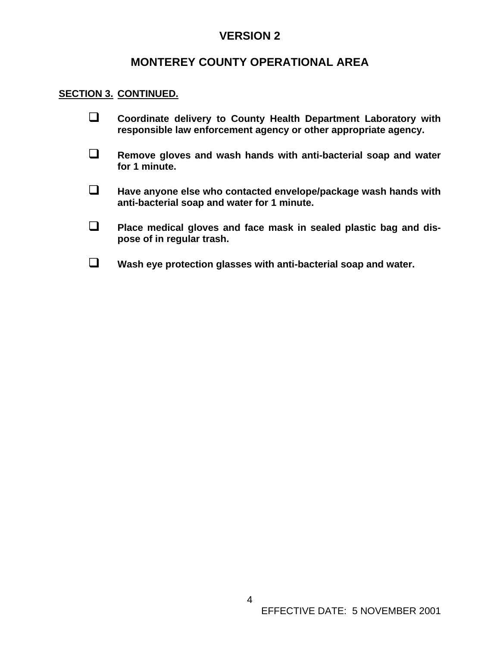### **MONTEREY COUNTY OPERATIONAL AREA**

#### **SECTION 3. CONTINUED.**

- **Coordinate delivery to County Health Department Laboratory with responsible law enforcement agency or other appropriate agency.**
- **Remove gloves and wash hands with anti-bacterial soap and water for 1 minute.**
- **Have anyone else who contacted envelope/package wash hands with anti-bacterial soap and water for 1 minute.**
- **Place medical gloves and face mask in sealed plastic bag and dispose of in regular trash.**
- **Wash eye protection glasses with anti-bacterial soap and water.**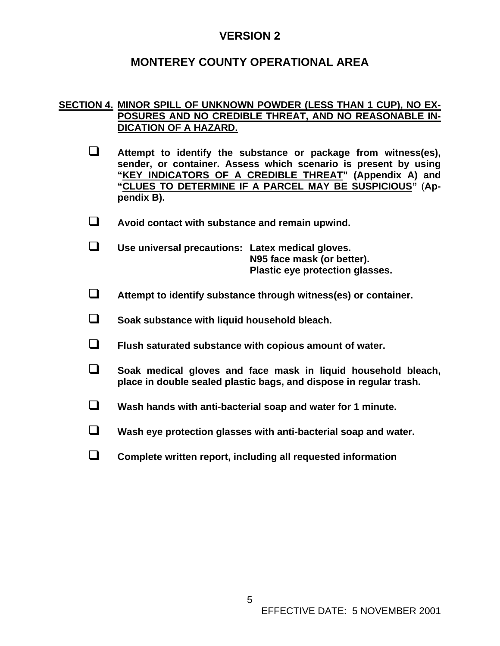### **MONTEREY COUNTY OPERATIONAL AREA**

#### **SECTION 4. MINOR SPILL OF UNKNOWN POWDER (LESS THAN 1 CUP), NO EX-POSURES AND NO CREDIBLE THREAT, AND NO REASONABLE IN-DICATION OF A HAZARD.**

- **Attempt to identify the substance or package from witness(es), sender, or container. Assess which scenario is present by using "KEY INDICATORS OF A CREDIBLE THREAT" (Appendix A) and "CLUES TO DETERMINE IF A PARCEL MAY BE SUSPICIOUS"** (**Appendix B).**
- **Avoid contact with substance and remain upwind.**
- **Use universal precautions: Latex medical gloves. N95 face mask (or better). Plastic eye protection glasses.**
- **Attempt to identify substance through witness(es) or container.**
- **Soak substance with liquid household bleach.**
- **Flush saturated substance with copious amount of water.**
- **Soak medical gloves and face mask in liquid household bleach, place in double sealed plastic bags, and dispose in regular trash.**
- **Wash hands with anti-bacterial soap and water for 1 minute.**
- **Wash eye protection glasses with anti-bacterial soap and water.**
- **Complete written report, including all requested information**

5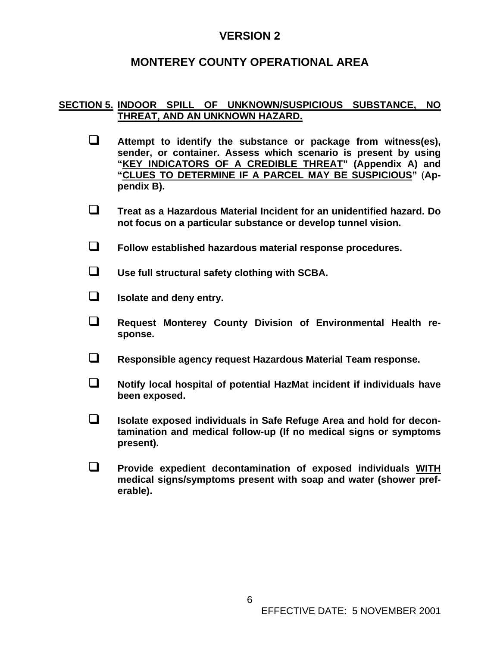### **MONTEREY COUNTY OPERATIONAL AREA**

#### **SECTION 5. INDOOR SPILL OF UNKNOWN/SUSPICIOUS SUBSTANCE, NO THREAT, AND AN UNKNOWN HAZARD.**

- **Attempt to identify the substance or package from witness(es), sender, or container. Assess which scenario is present by using "KEY INDICATORS OF A CREDIBLE THREAT" (Appendix A) and "CLUES TO DETERMINE IF A PARCEL MAY BE SUSPICIOUS"** (**Appendix B).**
- **Treat as a Hazardous Material Incident for an unidentified hazard. Do not focus on a particular substance or develop tunnel vision.**
- **Follow established hazardous material response procedures.**
- **Use full structural safety clothing with SCBA.**
- **ISOLATE:** Isolate and deny entry.
- **Request Monterey County Division of Environmental Health response.**
- **Responsible agency request Hazardous Material Team response.**
- **Notify local hospital of potential HazMat incident if individuals have been exposed.**
- **Isolate exposed individuals in Safe Refuge Area and hold for decontamination and medical follow-up (If no medical signs or symptoms present).**
- **Provide expedient decontamination of exposed individuals WITH medical signs/symptoms present with soap and water (shower preferable).**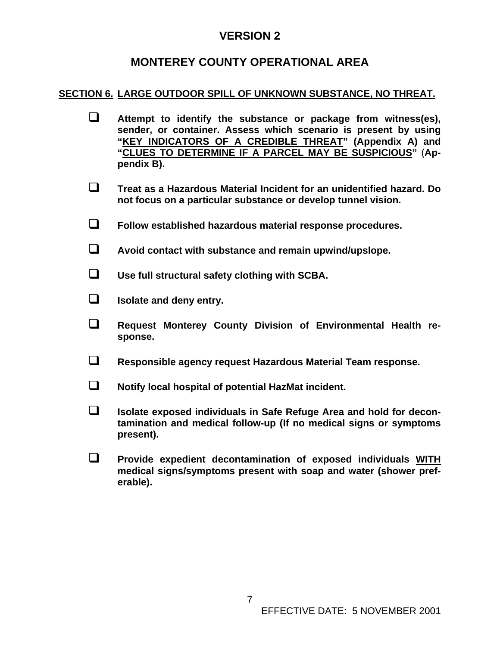### **MONTEREY COUNTY OPERATIONAL AREA**

### **SECTION 6. LARGE OUTDOOR SPILL OF UNKNOWN SUBSTANCE, NO THREAT.**

- **Attempt to identify the substance or package from witness(es), sender, or container. Assess which scenario is present by using "KEY INDICATORS OF A CREDIBLE THREAT" (Appendix A) and "CLUES TO DETERMINE IF A PARCEL MAY BE SUSPICIOUS"** (**Appendix B).**
- **Treat as a Hazardous Material Incident for an unidentified hazard. Do not focus on a particular substance or develop tunnel vision.**
- **Follow established hazardous material response procedures.**
- **Avoid contact with substance and remain upwind/upslope.**
- **Use full structural safety clothing with SCBA.**
- **Isolate and deny entry.**
- **Request Monterey County Division of Environmental Health response.**
- **Responsible agency request Hazardous Material Team response.**
- **Notify local hospital of potential HazMat incident.**
- **Isolate exposed individuals in Safe Refuge Area and hold for decontamination and medical follow-up (If no medical signs or symptoms present).**
- **Provide expedient decontamination of exposed individuals WITH medical signs/symptoms present with soap and water (shower preferable).**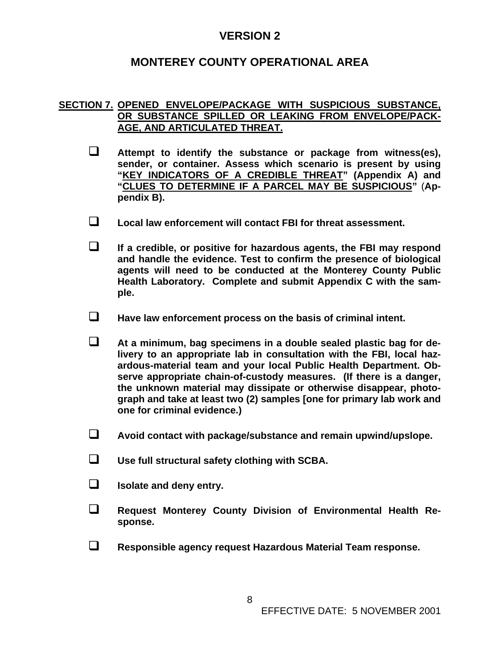### **MONTEREY COUNTY OPERATIONAL AREA**

#### **SECTION 7. OPENED ENVELOPE/PACKAGE WITH SUSPICIOUS SUBSTANCE, OR SUBSTANCE SPILLED OR LEAKING FROM ENVELOPE/PACK-AGE, AND ARTICULATED THREAT.**

- **Attempt to identify the substance or package from witness(es), sender, or container. Assess which scenario is present by using "KEY INDICATORS OF A CREDIBLE THREAT" (Appendix A) and "CLUES TO DETERMINE IF A PARCEL MAY BE SUSPICIOUS"** (**Appendix B).**
- **Local law enforcement will contact FBI for threat assessment.**
- **If a credible, or positive for hazardous agents, the FBI may respond and handle the evidence. Test to confirm the presence of biological agents will need to be conducted at the Monterey County Public Health Laboratory. Complete and submit Appendix C with the sample.**
- **Have law enforcement process on the basis of criminal intent.**
- **At a minimum, bag specimens in a double sealed plastic bag for delivery to an appropriate lab in consultation with the FBI, local hazardous-material team and your local Public Health Department. Observe appropriate chain-of-custody measures. (If there is a danger, the unknown material may dissipate or otherwise disappear, photograph and take at least two (2) samples [one for primary lab work and one for criminal evidence.)**
- **Avoid contact with package/substance and remain upwind/upslope.**
- **Use full structural safety clothing with SCBA.**
- **Isolate and deny entry.**
- **Request Monterey County Division of Environmental Health Response.**
- **Responsible agency request Hazardous Material Team response.**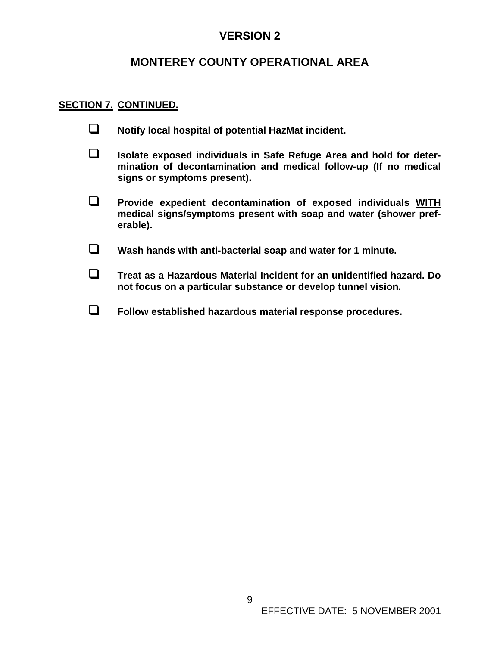### **MONTEREY COUNTY OPERATIONAL AREA**

#### **SECTION 7. CONTINUED.**

- **Notify local hospital of potential HazMat incident.**
- **Isolate exposed individuals in Safe Refuge Area and hold for determination of decontamination and medical follow-up (If no medical signs or symptoms present).**
- **Provide expedient decontamination of exposed individuals WITH medical signs/symptoms present with soap and water (shower preferable).**
- **Wash hands with anti-bacterial soap and water for 1 minute.**
- **Treat as a Hazardous Material Incident for an unidentified hazard. Do not focus on a particular substance or develop tunnel vision.**
- **Follow established hazardous material response procedures.**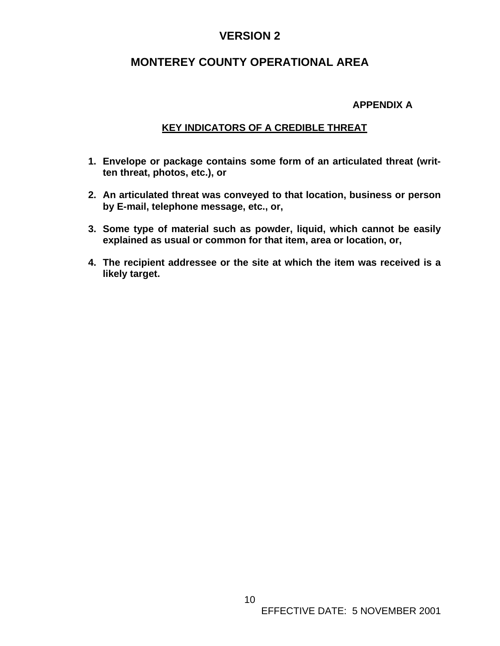### **MONTEREY COUNTY OPERATIONAL AREA**

#### **APPENDIX A**

#### **KEY INDICATORS OF A CREDIBLE THREAT**

- **1. Envelope or package contains some form of an articulated threat (written threat, photos, etc.), or**
- **2. An articulated threat was conveyed to that location, business or person by E-mail, telephone message, etc., or,**
- **3. Some type of material such as powder, liquid, which cannot be easily explained as usual or common for that item, area or location, or,**
- **4. The recipient addressee or the site at which the item was received is a likely target.**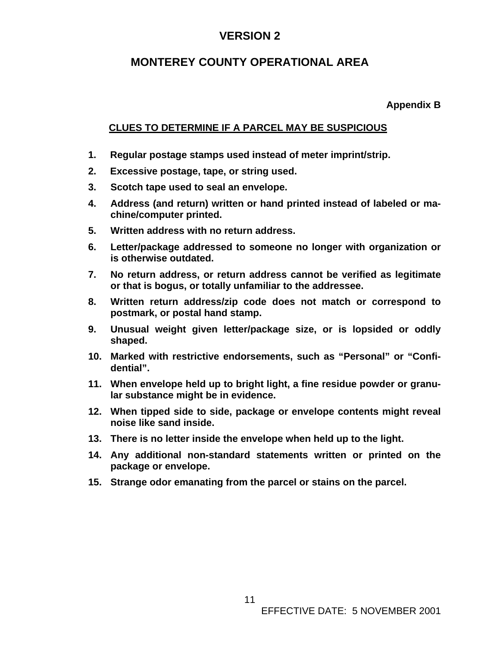### **MONTEREY COUNTY OPERATIONAL AREA**

**Appendix B** 

### **CLUES TO DETERMINE IF A PARCEL MAY BE SUSPICIOUS**

- **1. Regular postage stamps used instead of meter imprint/strip.**
- **2. Excessive postage, tape, or string used.**
- **3. Scotch tape used to seal an envelope.**
- **4. Address (and return) written or hand printed instead of labeled or machine/computer printed.**
- **5. Written address with no return address.**
- **6. Letter/package addressed to someone no longer with organization or is otherwise outdated.**
- **7. No return address, or return address cannot be verified as legitimate or that is bogus, or totally unfamiliar to the addressee.**
- **8. Written return address/zip code does not match or correspond to postmark, or postal hand stamp.**
- **9. Unusual weight given letter/package size, or is lopsided or oddly shaped.**
- **10. Marked with restrictive endorsements, such as "Personal" or "Confidential".**
- **11. When envelope held up to bright light, a fine residue powder or granular substance might be in evidence.**
- **12. When tipped side to side, package or envelope contents might reveal noise like sand inside.**
- **13. There is no letter inside the envelope when held up to the light.**
- **14. Any additional non-standard statements written or printed on the package or envelope.**
- **15. Strange odor emanating from the parcel or stains on the parcel.**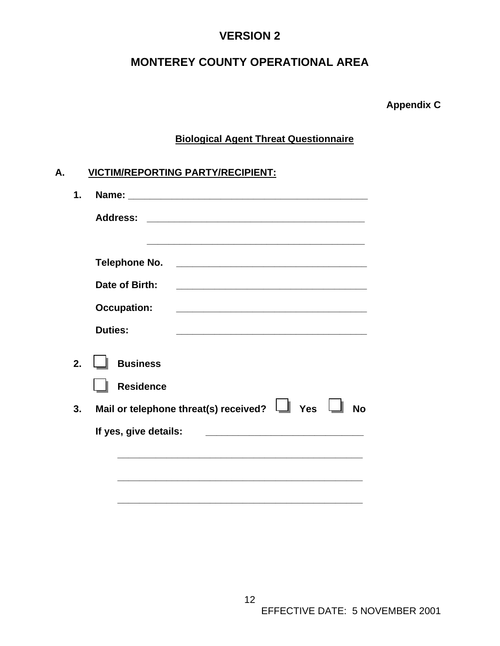# **MONTEREY COUNTY OPERATIONAL AREA**

**Appendix C** 

### **Biological Agent Threat Questionnaire**

| $\mathbf 1$ .  |                                                                                                                                                |
|----------------|------------------------------------------------------------------------------------------------------------------------------------------------|
|                | <b>Address:</b>                                                                                                                                |
|                |                                                                                                                                                |
|                | <b>Telephone No.</b><br><u> 2008 - Jan Barnett, fransk politik (d. 1888)</u>                                                                   |
|                | Date of Birth:<br><u> 1989 - Johann John Stone, mars et al. 1989 - John Stone, mars et al. 1989 - John Stone, mars et al. 1989 - Joh</u>       |
|                | <b>Occupation:</b>                                                                                                                             |
|                | <b>Duties:</b>                                                                                                                                 |
| 2 <sub>1</sub> | <b>Business</b>                                                                                                                                |
|                | <b>Residence</b>                                                                                                                               |
| 3.             | Mail or telephone threat(s) received? $\Box$ Yes<br><b>No</b>                                                                                  |
|                | If yes, give details:<br><u> 2008 - Jan James James James James James James James James James James James James James James James James Ja</u> |
|                |                                                                                                                                                |
|                |                                                                                                                                                |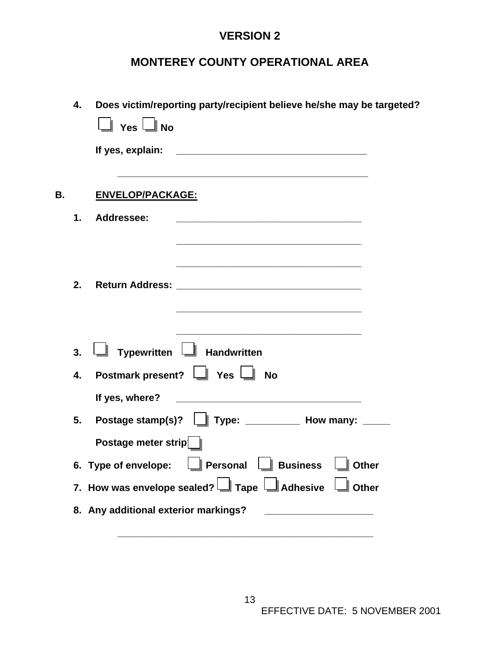# **MONTEREY COUNTY OPERATIONAL AREA**

|    | 4. | Does victim/reporting party/recipient believe he/she may be targeted?<br>$\Box$ Yes $\Box$ No                                                                                                                                                          |
|----|----|--------------------------------------------------------------------------------------------------------------------------------------------------------------------------------------------------------------------------------------------------------|
|    |    |                                                                                                                                                                                                                                                        |
| В. |    | ENVELOP/PACKAGE:                                                                                                                                                                                                                                       |
|    | 1. | Addressee:                                                                                                                                                                                                                                             |
|    | 2. | <u> 1989 - Johann Stein, mars an deutscher Stein und der Stein und der Stein und der Stein und der Stein und der</u><br>the control of the control of the control of the control of the control of the control of                                      |
|    | 3. | Typewritten II Handwritten                                                                                                                                                                                                                             |
|    | 4. | Postmark present? I Yes I No                                                                                                                                                                                                                           |
|    |    | If yes, where?<br><u> 2002 - Johann Johann Johann Johann Johann Johann Johann Johann Johann Johann Johann Johann Johann Johann Johann Johann Johann Johann Johann Johann Johann Johann Johann Johann Johann Johann Johann Johann Johann Johann Joh</u> |
|    | 5. | Postage stamp(s)? $\Box$ Type: ___________ How many: _____                                                                                                                                                                                             |
|    |    | Postage meter strip                                                                                                                                                                                                                                    |
|    |    | 6. Type of envelope: $\Box$ Personal $\Box$ Business $\Box$ Other                                                                                                                                                                                      |
|    |    | 7. How was envelope sealed? $\Box$ Tape $\Box$ Adhesive $\Box$ Other                                                                                                                                                                                   |
|    |    | 8. Any additional exterior markings?<br><u> 1989 - Johann Barbara, martxa alemaniar a</u>                                                                                                                                                              |
|    |    |                                                                                                                                                                                                                                                        |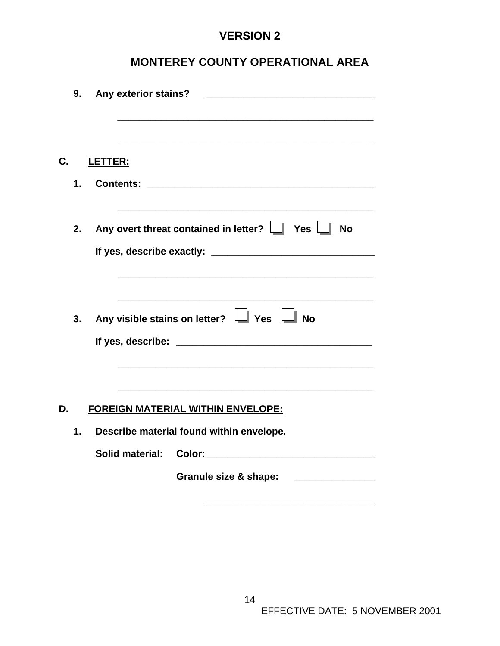# **MONTEREY COUNTY OPERATIONAL AREA**

|    | 9.            |         | Any exterior stains? |                                                                                                                       |
|----|---------------|---------|----------------------|-----------------------------------------------------------------------------------------------------------------------|
|    |               |         |                      |                                                                                                                       |
| С. |               | LETTER: |                      |                                                                                                                       |
|    | $\mathbf 1$ . |         |                      |                                                                                                                       |
|    | 2.            |         |                      | Any overt threat contained in letter? $\Box$ Yes $\Box$<br><b>No</b>                                                  |
|    |               |         |                      |                                                                                                                       |
|    |               |         |                      | <u> 1989 - Johann Stoff, deutscher Stoff, der Stoff, der Stoff, der Stoff, der Stoff, der Stoff, der Stoff, der S</u> |
|    | 3.            |         |                      | Any visible stains on letter?   Yes   No                                                                              |
|    |               |         |                      |                                                                                                                       |
|    |               |         |                      |                                                                                                                       |
| D. |               |         |                      | FOREIGN MATERIAL WITHIN ENVELOPE:                                                                                     |
|    | 1.            |         |                      | Describe material found within envelope.                                                                              |
|    |               |         |                      |                                                                                                                       |
|    |               |         |                      | Granule size & shape:                                                                                                 |

 **\_\_\_\_\_\_\_\_\_\_\_\_\_\_\_\_\_\_\_\_\_\_\_\_\_\_\_\_\_\_\_**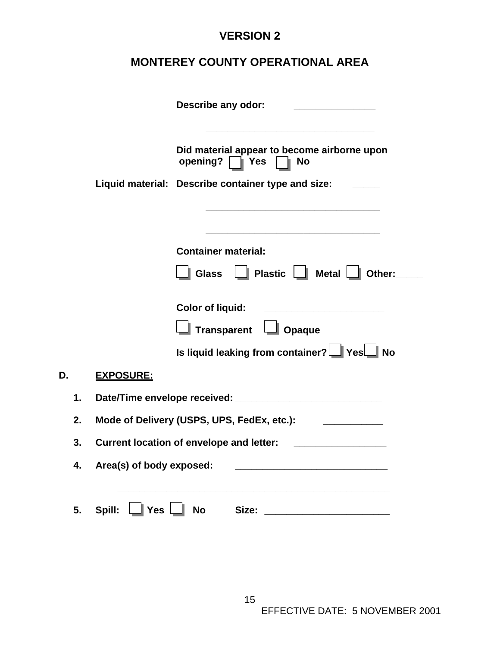# **MONTEREY COUNTY OPERATIONAL AREA**

|    |                          | Describe any odor:                                                                                                    |
|----|--------------------------|-----------------------------------------------------------------------------------------------------------------------|
|    |                          | Did material appear to become airborne upon<br>opening?   Yes   No                                                    |
|    |                          | Liquid material: Describe container type and size:                                                                    |
|    |                          | <u> 1989 - Johann Barn, mars eta bainar eta bainar eta baina eta baina eta baina eta baina eta baina eta baina e</u>  |
|    |                          | <b>Container material:</b>                                                                                            |
|    |                          | $\boxed{\phantom{a}}$ Plastic $\boxed{\phantom{a}}$ Metal $\boxed{\phantom{a}}$ Other:<br><b>Glass</b>                |
|    |                          | <b>Color of liquid:</b>                                                                                               |
|    |                          | Transparent   Opaque                                                                                                  |
|    |                          | Is liquid leaking from container? Ses No                                                                              |
|    | <b>EXPOSURE:</b>         |                                                                                                                       |
| 1. |                          |                                                                                                                       |
| 2. |                          | Mode of Delivery (USPS, UPS, FedEx, etc.): [2006] [2006]                                                              |
| 3. |                          |                                                                                                                       |
| 4. | Area(s) of body exposed: | <u> 1999 - Johann Harry Harry Harry Harry Harry Harry Harry Harry Harry Harry Harry Harry Harry Harry Harry Harry</u> |
| 5. | Spill:                   | <u> 1989 - Johann Stoff, amerikansk politiker (d. 1989)</u><br>∐ Yes ∐ No                                             |

**D. EXPOSURE:**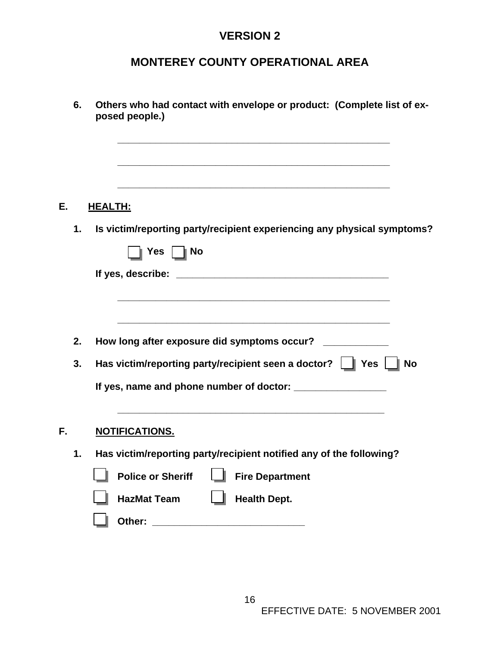# **MONTEREY COUNTY OPERATIONAL AREA**

|    | 6.       | Others who had contact with envelope or product: (Complete list of ex-<br>posed people.)                                                      |
|----|----------|-----------------------------------------------------------------------------------------------------------------------------------------------|
| Е. |          | <u>HEALTH:</u>                                                                                                                                |
|    | 1.       | Is victim/reporting party/recipient experiencing any physical symptoms?                                                                       |
|    |          |                                                                                                                                               |
|    |          |                                                                                                                                               |
|    | 2.<br>3. | How long after exposure did symptoms occur? ___________<br>Has victim/reporting party/recipient seen a doctor? $\Box$ Yes $\Box$<br><b>No</b> |
|    |          |                                                                                                                                               |
| F. |          | <b>NOTIFICATIONS.</b>                                                                                                                         |
|    | 1.       | Has victim/reporting party/recipient notified any of the following?                                                                           |
|    |          | <b>Police or Sheriff</b><br><b>Fire Department</b>                                                                                            |
|    |          | <b>Health Dept.</b><br><b>HazMat Team</b>                                                                                                     |
|    |          | Other:<br><u> 1980 - Jan Barbara, manazarta bashkar a shekara 1980 - André Santa Barbara, mash</u>                                            |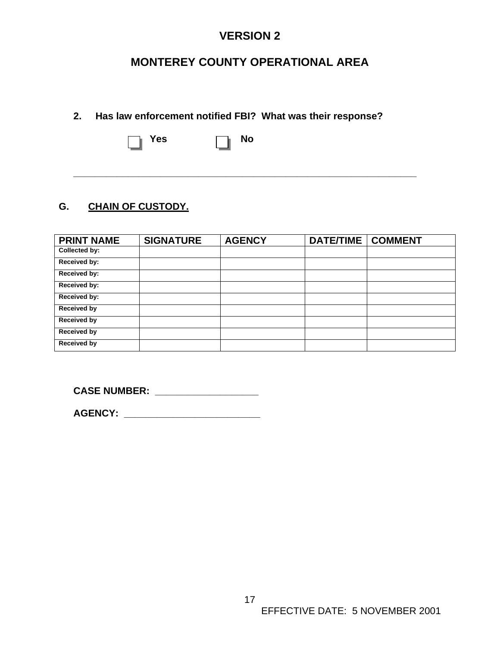## **MONTEREY COUNTY OPERATIONAL AREA**

### **2. Has law enforcement notified FBI? What was their response?**

Yes **no No** 

**\_\_\_\_\_\_\_\_\_\_\_\_\_\_\_\_\_\_\_\_\_\_\_\_\_\_\_\_\_\_\_\_\_\_\_\_\_\_\_\_\_\_\_\_\_\_\_\_\_\_\_\_\_\_\_\_\_\_\_\_\_\_\_** 

### **G. CHAIN OF CUSTODY.**

| <b>PRINT NAME</b>  | <b>SIGNATURE</b> | <b>AGENCY</b> | <b>DATE/TIME</b> | <b>COMMENT</b> |
|--------------------|------------------|---------------|------------------|----------------|
| Collected by:      |                  |               |                  |                |
| Received by:       |                  |               |                  |                |
| Received by:       |                  |               |                  |                |
| Received by:       |                  |               |                  |                |
| Received by:       |                  |               |                  |                |
| <b>Received by</b> |                  |               |                  |                |
| <b>Received by</b> |                  |               |                  |                |
| <b>Received by</b> |                  |               |                  |                |
| <b>Received by</b> |                  |               |                  |                |

**CASE NUMBER: \_\_\_\_\_\_\_\_\_\_\_\_\_\_\_\_\_\_\_** 

**AGENCY: \_\_\_\_\_\_\_\_\_\_\_\_\_\_\_\_\_\_\_\_\_\_\_\_\_**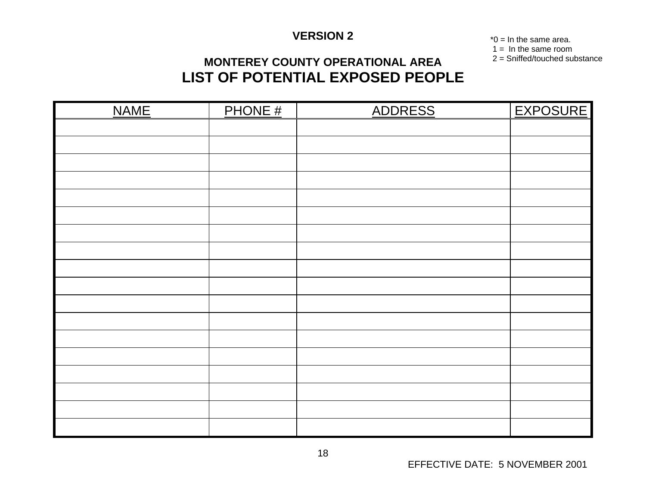\*0 = In the same area.  $1 = \ln \text{the same room}$ 

2 = Sniffed/touched substance

# **MONTEREY COUNTY OPERATIONAL AREA LIST OF POTENTIAL EXPOSED PEOPLE**

| <b>NAME</b> | PHONE # | ADDRESS | <b>EXPOSURE</b> |
|-------------|---------|---------|-----------------|
|             |         |         |                 |
|             |         |         |                 |
|             |         |         |                 |
|             |         |         |                 |
|             |         |         |                 |
|             |         |         |                 |
|             |         |         |                 |
|             |         |         |                 |
|             |         |         |                 |
|             |         |         |                 |
|             |         |         |                 |
|             |         |         |                 |
|             |         |         |                 |
|             |         |         |                 |
|             |         |         |                 |
|             |         |         |                 |
|             |         |         |                 |
|             |         |         |                 |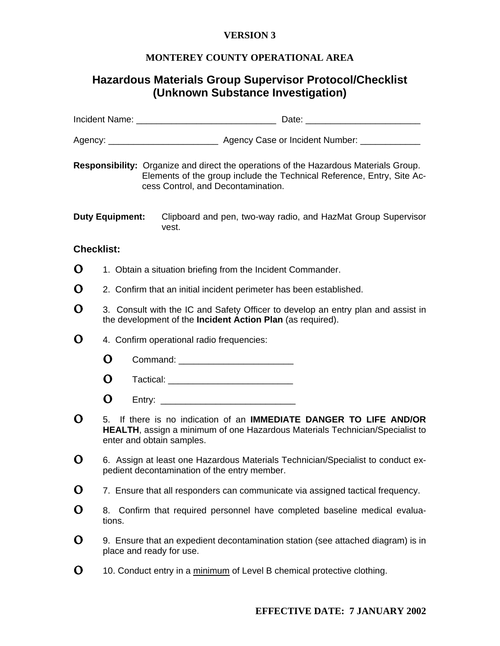#### **MONTEREY COUNTY OPERATIONAL AREA**

### **Hazardous Materials Group Supervisor Protocol/Checklist (Unknown Substance Investigation)**

|                   |                        | Responsibility: Organize and direct the operations of the Hazardous Materials Group.<br>Elements of the group include the Technical Reference, Entry, Site Ac-<br>cess Control, and Decontamination. |
|-------------------|------------------------|------------------------------------------------------------------------------------------------------------------------------------------------------------------------------------------------------|
|                   | <b>Duty Equipment:</b> | Clipboard and pen, two-way radio, and HazMat Group Supervisor<br>vest.                                                                                                                               |
| <b>Checklist:</b> |                        |                                                                                                                                                                                                      |
| O                 |                        | 1. Obtain a situation briefing from the Incident Commander.                                                                                                                                          |
| O                 |                        | 2. Confirm that an initial incident perimeter has been established.                                                                                                                                  |
| O                 |                        | 3. Consult with the IC and Safety Officer to develop an entry plan and assist in<br>the development of the Incident Action Plan (as required).                                                       |
| O                 |                        | 4. Confirm operational radio frequencies:                                                                                                                                                            |
|                   | O                      | Command: ____________________________                                                                                                                                                                |
|                   | O                      |                                                                                                                                                                                                      |
|                   | O                      |                                                                                                                                                                                                      |
| O                 |                        | 5. If there is no indication of an <b>IMMEDIATE DANGER TO LIFE AND/OR</b><br>HEALTH, assign a minimum of one Hazardous Materials Technician/Specialist to<br>enter and obtain samples.               |
| Ő                 |                        | 6. Assign at least one Hazardous Materials Technician/Specialist to conduct ex-<br>pedient decontamination of the entry member.                                                                      |
| O                 |                        | 7. Ensure that all responders can communicate via assigned tactical frequency.                                                                                                                       |
| O                 | 8.<br>tions.           | Confirm that required personnel have completed baseline medical evalua-                                                                                                                              |
| O                 |                        | 9. Ensure that an expedient decontamination station (see attached diagram) is in<br>place and ready for use.                                                                                         |
| O                 |                        | 10. Conduct entry in a minimum of Level B chemical protective clothing.                                                                                                                              |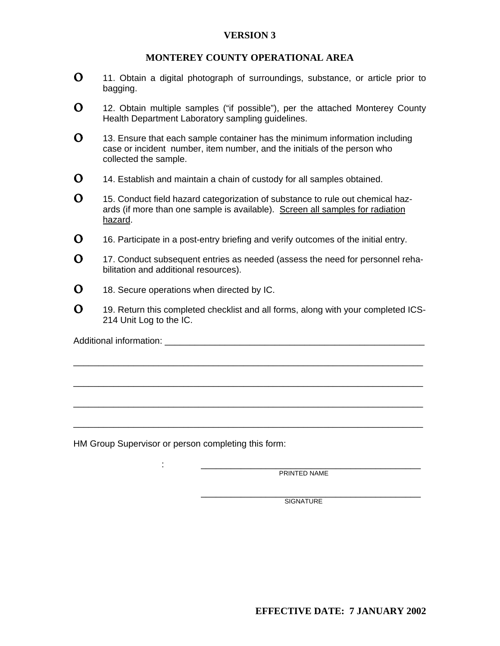#### **MONTEREY COUNTY OPERATIONAL AREA**

- $\Omega$  11. Obtain a digital photograph of surroundings, substance, or article prior to bagging.
- $\Omega$  12. Obtain multiple samples ("if possible"), per the attached Monterey County Health Department Laboratory sampling guidelines.
- $\mathbf{0}$  13. Ensure that each sample container has the minimum information including case or incident number, item number, and the initials of the person who collected the sample.
- $\Omega$  14. Establish and maintain a chain of custody for all samples obtained.
- $\Omega$  15. Conduct field hazard categorization of substance to rule out chemical hazards (if more than one sample is available). Screen all samples for radiation hazard.
- $\Omega$  16. Participate in a post-entry briefing and verify outcomes of the initial entry.
- $\Omega$  17. Conduct subsequent entries as needed (assess the need for personnel rehabilitation and additional resources).
- $\Omega$  18. Secure operations when directed by IC.
- $\Omega$  19. Return this completed checklist and all forms, along with your completed ICS-214 Unit Log to the IC.

\_\_\_\_\_\_\_\_\_\_\_\_\_\_\_\_\_\_\_\_\_\_\_\_\_\_\_\_\_\_\_\_\_\_\_\_\_\_\_\_\_\_\_\_\_\_\_\_\_\_\_\_\_\_\_\_\_\_\_\_\_\_\_\_\_\_\_\_\_\_

\_\_\_\_\_\_\_\_\_\_\_\_\_\_\_\_\_\_\_\_\_\_\_\_\_\_\_\_\_\_\_\_\_\_\_\_\_\_\_\_\_\_\_\_\_\_\_\_\_\_\_\_\_\_\_\_\_\_\_\_\_\_\_\_\_\_\_\_\_\_

\_\_\_\_\_\_\_\_\_\_\_\_\_\_\_\_\_\_\_\_\_\_\_\_\_\_\_\_\_\_\_\_\_\_\_\_\_\_\_\_\_\_\_\_\_\_\_\_\_\_\_\_\_\_\_\_\_\_\_\_\_\_\_\_\_\_\_\_\_\_

\_\_\_\_\_\_\_\_\_\_\_\_\_\_\_\_\_\_\_\_\_\_\_\_\_\_\_\_\_\_\_\_\_\_\_\_\_\_\_\_\_\_\_\_\_\_\_\_\_\_\_\_\_\_\_\_\_\_\_\_\_\_\_\_\_\_\_\_\_\_

Additional information: \_\_\_\_\_\_\_\_\_\_\_\_\_\_\_\_\_\_\_\_\_\_\_\_\_\_\_\_\_\_\_\_\_\_\_\_\_\_\_\_\_\_\_\_\_\_\_\_\_\_\_\_

HM Group Supervisor or person completing this form:

: \_\_\_\_\_\_\_\_\_\_\_\_\_\_\_\_\_\_\_\_\_\_\_\_\_\_\_\_\_\_\_\_\_\_\_\_\_\_\_\_\_\_\_\_ PRINTED NAME

\_\_\_\_\_\_\_\_\_\_\_\_\_\_\_\_\_\_\_\_\_\_\_\_\_\_\_\_\_\_\_\_\_\_\_\_\_\_\_\_\_\_\_\_ SIGNATURE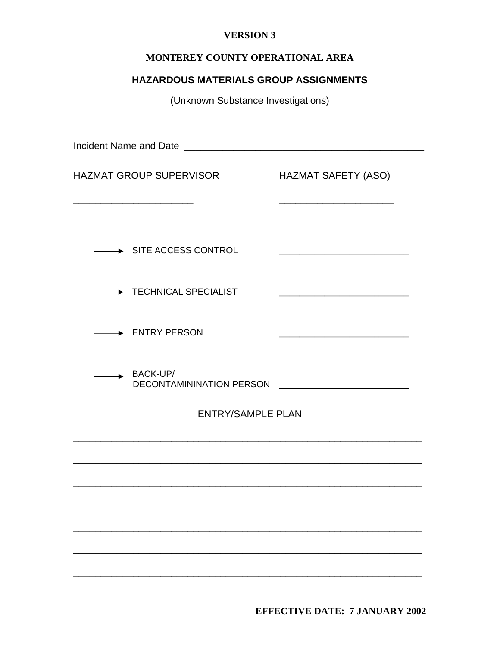#### MONTEREY COUNTY OPERATIONAL AREA

### **HAZARDOUS MATERIALS GROUP ASSIGNMENTS**

(Unknown Substance Investigations)

**HAZMAT GROUP SUPERVISOR HAZMAT SAFETY (ASO)**  $\rightarrow$  SITE ACCESS CONTROL TECHNICAL SPECIALIST → ENTRY PERSON  $\rightarrow$  BACK-UP/ **ENTRY/SAMPLE PLAN** 

**EFFECTIVE DATE: 7 JANUARY 2002**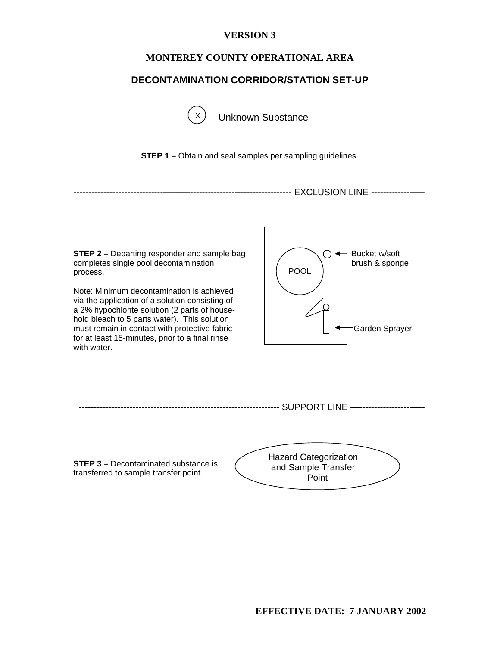#### **MONTEREY COUNTY OPERATIONAL AREA**

#### **DECONTAMINATION CORRIDOR/STATION SET-UP**



**Unknown Substance** 

**STEP 1 –** Obtain and seal samples per sampling guidelines.

**-------------------------------------------------------------------------** EXCLUSION LINE **------------------** 

**STEP 2 –** Departing responder and sample bag  $\Box$   $\Box$ completes single pool decontamination  $\begin{pmatrix} 1 & 1 \end{pmatrix}$  brush & sponge process.

Note: Minimum decontamination is achieved via the application of a solution consisting of a 2% hypochlorite solution (2 parts of household bleach to 5 parts water). This solution must remain in contact with protective fabric Garden Sprayer for at least 15-minutes, prior to a final rinse with water.





**STEP 3 –** Decontaminated substance is transferred to sample transfer point.

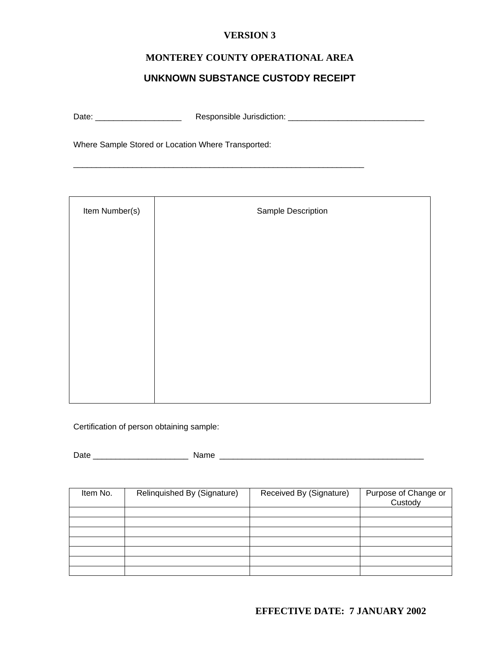### **MONTEREY COUNTY OPERATIONAL AREA**

### **UNKNOWN SUBSTANCE CUSTODY RECEIPT**

\_\_\_\_\_\_\_\_\_\_\_\_\_\_\_\_\_\_\_\_\_\_\_\_\_\_\_\_\_\_\_\_\_\_\_\_\_\_\_\_\_\_\_\_\_\_\_\_\_\_\_\_\_\_\_\_\_\_\_\_\_\_\_\_

Date: \_\_\_\_\_\_\_\_\_\_\_\_\_\_\_\_\_\_\_ Responsible Jurisdiction: \_\_\_\_\_\_\_\_\_\_\_\_\_\_\_\_\_\_\_\_\_\_\_\_\_\_\_\_\_\_

Where Sample Stored or Location Where Transported:

| Item Number(s) | Sample Description |  |  |
|----------------|--------------------|--|--|
|                |                    |  |  |
|                |                    |  |  |
|                |                    |  |  |
|                |                    |  |  |
|                |                    |  |  |
|                |                    |  |  |
|                |                    |  |  |

Certification of person obtaining sample:

Date \_\_\_\_\_\_\_\_\_\_\_\_\_\_\_\_\_\_\_\_\_ Name \_\_\_\_\_\_\_\_\_\_\_\_\_\_\_\_\_\_\_\_\_\_\_\_\_\_\_\_\_\_\_\_\_\_\_\_\_\_\_\_\_\_\_\_\_

| Item No. | Relinquished By (Signature) | Received By (Signature) | Purpose of Change or<br>Custody |
|----------|-----------------------------|-------------------------|---------------------------------|
|          |                             |                         |                                 |
|          |                             |                         |                                 |
|          |                             |                         |                                 |
|          |                             |                         |                                 |
|          |                             |                         |                                 |
|          |                             |                         |                                 |
|          |                             |                         |                                 |

#### **EFFECTIVE DATE: 7 JANUARY 2002**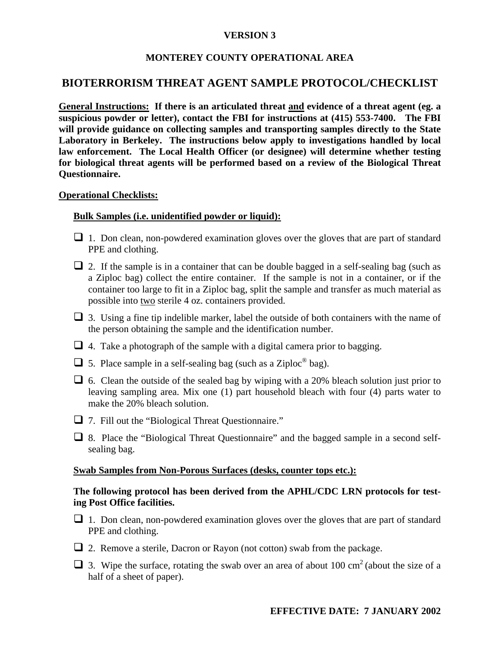#### **MONTEREY COUNTY OPERATIONAL AREA**

#### **BIOTERRORISM THREAT AGENT SAMPLE PROTOCOL/CHECKLIST**

**General Instructions: If there is an articulated threat and evidence of a threat agent (eg. a suspicious powder or letter), contact the FBI for instructions at (415) 553-7400. The FBI will provide guidance on collecting samples and transporting samples directly to the State Laboratory in Berkeley. The instructions below apply to investigations handled by local law enforcement. The Local Health Officer (or designee) will determine whether testing for biological threat agents will be performed based on a review of the Biological Threat Questionnaire.** 

#### **Operational Checklists:**

#### **Bulk Samples (i.e. unidentified powder or liquid):**

- $\Box$  1. Don clean, non-powdered examination gloves over the gloves that are part of standard PPE and clothing.
- $\Box$  2. If the sample is in a container that can be double bagged in a self-sealing bag (such as a Ziploc bag) collect the entire container. If the sample is not in a container, or if the container too large to fit in a Ziploc bag, split the sample and transfer as much material as possible into two sterile 4 oz. containers provided.
- $\Box$  3. Using a fine tip indelible marker, label the outside of both containers with the name of the person obtaining the sample and the identification number.
- $\Box$  4. Take a photograph of the sample with a digital camera prior to bagging.
- $\Box$  5. Place sample in a self-sealing bag (such as a Ziploc<sup>®</sup> bag).
- $\Box$  6. Clean the outside of the sealed bag by wiping with a 20% bleach solution just prior to leaving sampling area. Mix one (1) part household bleach with four (4) parts water to make the 20% bleach solution.
- □ 7. Fill out the "Biological Threat Questionnaire."
- 8. Place the "Biological Threat Questionnaire" and the bagged sample in a second selfsealing bag.

#### **Swab Samples from Non-Porous Surfaces (desks, counter tops etc.):**

#### **The following protocol has been derived from the APHL/CDC LRN protocols for testing Post Office facilities.**

- $\Box$  1. Don clean, non-powdered examination gloves over the gloves that are part of standard PPE and clothing.
- $\Box$  2. Remove a sterile, Dacron or Rayon (not cotton) swab from the package.
- $\Box$  3. Wipe the surface, rotating the swab over an area of about 100 cm<sup>2</sup> (about the size of a half of a sheet of paper).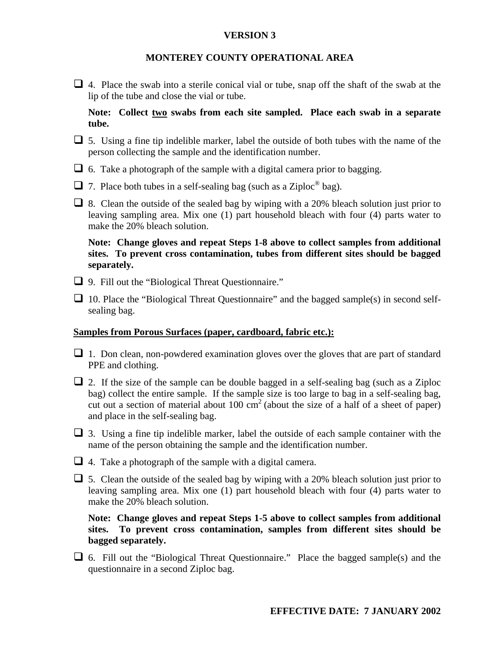#### **MONTEREY COUNTY OPERATIONAL AREA**

 $\Box$  4. Place the swab into a sterile conical vial or tube, snap off the shaft of the swab at the lip of the tube and close the vial or tube.

**Note: Collect two swabs from each site sampled. Place each swab in a separate tube.** 

- $\Box$  5. Using a fine tip indelible marker, label the outside of both tubes with the name of the person collecting the sample and the identification number.
- $\Box$  6. Take a photograph of the sample with a digital camera prior to bagging.
- $\Box$  7. Place both tubes in a self-sealing bag (such as a Ziploc<sup>®</sup> bag).
- $\Box$  8. Clean the outside of the sealed bag by wiping with a 20% bleach solution just prior to leaving sampling area. Mix one (1) part household bleach with four (4) parts water to make the 20% bleach solution.

**Note: Change gloves and repeat Steps 1-8 above to collect samples from additional sites. To prevent cross contamination, tubes from different sites should be bagged separately.** 

- □ 9. Fill out the "Biological Threat Questionnaire."
- $\Box$  10. Place the "Biological Threat Questionnaire" and the bagged sample(s) in second selfsealing bag.

#### **Samples from Porous Surfaces (paper, cardboard, fabric etc.):**

- $\Box$  1. Don clean, non-powdered examination gloves over the gloves that are part of standard PPE and clothing.
- $\Box$  2. If the size of the sample can be double bagged in a self-sealing bag (such as a Ziploc bag) collect the entire sample. If the sample size is too large to bag in a self-sealing bag, cut out a section of material about  $100 \text{ cm}^2$  (about the size of a half of a sheet of paper) and place in the self-sealing bag.
- $\Box$  3. Using a fine tip indelible marker, label the outside of each sample container with the name of the person obtaining the sample and the identification number.
- $\Box$  4. Take a photograph of the sample with a digital camera.
- $\Box$  5. Clean the outside of the sealed bag by wiping with a 20% bleach solution just prior to leaving sampling area. Mix one (1) part household bleach with four (4) parts water to make the 20% bleach solution.

**Note: Change gloves and repeat Steps 1-5 above to collect samples from additional sites. To prevent cross contamination, samples from different sites should be bagged separately.** 

 $\Box$  6. Fill out the "Biological Threat Questionnaire." Place the bagged sample(s) and the questionnaire in a second Ziploc bag.